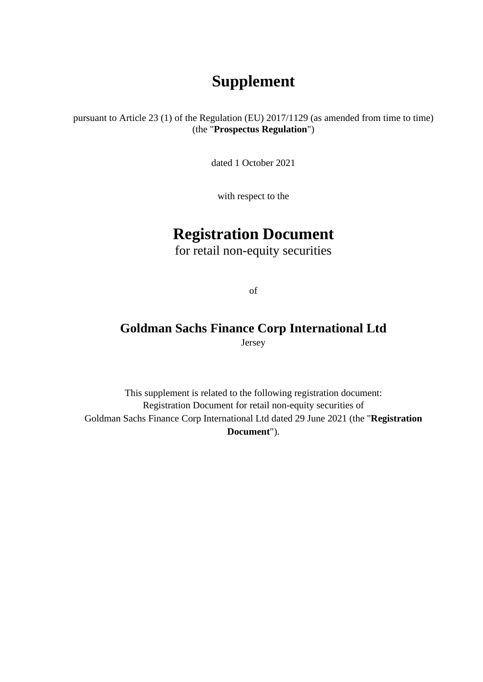# **Supplement**

pursuant to Article 23 (1) of the Regulation (EU) 2017/1129 (as amended from time to time) (the "**Prospectus Regulation**")

dated 1 October 2021

with respect to the

# **Registration Document**

for retail non-equity securities

of

## **Goldman Sachs Finance Corp International Ltd** Jersey

This supplement is related to the following registration document: Registration Document for retail non-equity securities of Goldman Sachs Finance Corp International Ltd dated 29 June 2021 (the "**Registration Document**").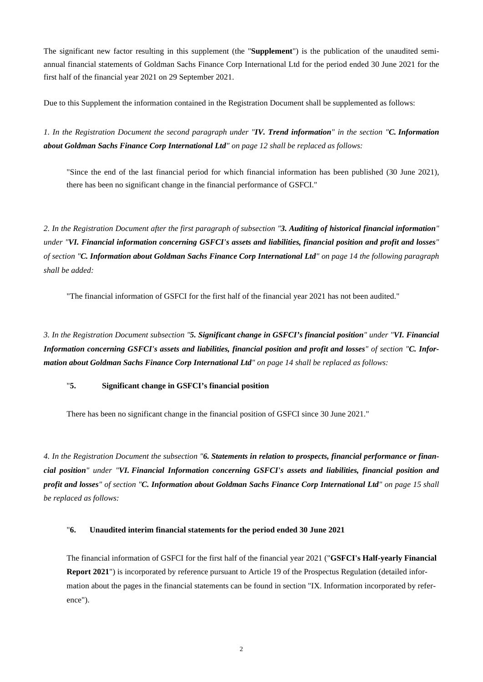The significant new factor resulting in this supplement (the "**Supplement**") is the publication of the unaudited semiannual financial statements of Goldman Sachs Finance Corp International Ltd for the period ended 30 June 2021 for the first half of the financial year 2021 on 29 September 2021.

Due to this Supplement the information contained in the Registration Document shall be supplemented as follows:

*1. In the Registration Document the second paragraph under "IV. Trend information" in the section "C. Information about Goldman Sachs Finance Corp International Ltd" on page 12 shall be replaced as follows:* 

"Since the end of the last financial period for which financial information has been published (30 June 2021), there has been no significant change in the financial performance of GSFCI."

*2. In the Registration Document after the first paragraph of subsection "3. Auditing of historical financial information" under "VI. Financial information concerning GSFCI's assets and liabilities, financial position and profit and losses" of section "C. Information about Goldman Sachs Finance Corp International Ltd" on page 14 the following paragraph shall be added:*

"The financial information of GSFCI for the first half of the financial year 2021 has not been audited."

*3. In the Registration Document subsection "5. Significant change in GSFCI's financial position" under "VI. Financial Information concerning GSFCI's assets and liabilities, financial position and profit and losses" of section "C. Information about Goldman Sachs Finance Corp International Ltd" on page 14 shall be replaced as follows:* 

### "**5. Significant change in GSFCI's financial position**

There has been no significant change in the financial position of GSFCI since 30 June 2021."

*4. In the Registration Document the subsection "6. Statements in relation to prospects, financial performance or financial position" under "VI. Financial Information concerning GSFCI's assets and liabilities, financial position and profit and losses" of section "C. Information about Goldman Sachs Finance Corp International Ltd" on page 15 shall be replaced as follows:* 

### "**6. Unaudited interim financial statements for the period ended 30 June 2021**

The financial information of GSFCI for the first half of the financial year 2021 ("**GSFCI's Half-yearly Financial Report 2021**") is incorporated by reference pursuant to Article 19 of the Prospectus Regulation (detailed information about the pages in the financial statements can be found in section "IX. Information incorporated by reference").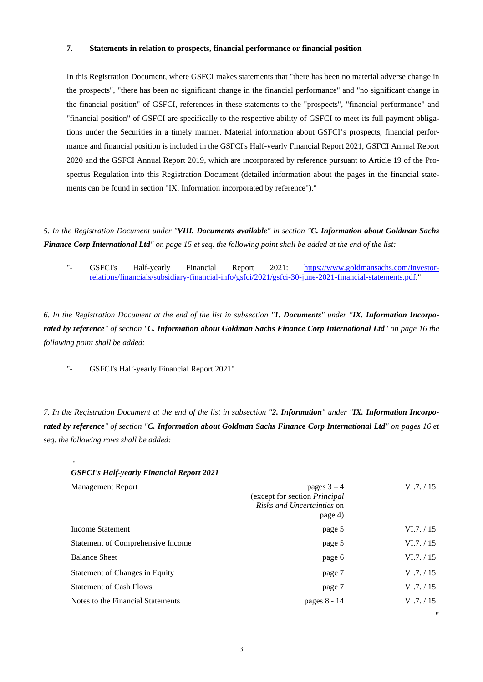#### **7. Statements in relation to prospects, financial performance or financial position**

In this Registration Document, where GSFCI makes statements that "there has been no material adverse change in the prospects", "there has been no significant change in the financial performance" and "no significant change in the financial position" of GSFCI, references in these statements to the "prospects", "financial performance" and "financial position" of GSFCI are specifically to the respective ability of GSFCI to meet its full payment obligations under the Securities in a timely manner. Material information about GSFCI's prospects, financial performance and financial position is included in the GSFCI's Half-yearly Financial Report 2021, GSFCI Annual Report 2020 and the GSFCI Annual Report 2019, which are incorporated by reference pursuant to Article 19 of the Prospectus Regulation into this Registration Document (detailed information about the pages in the financial statements can be found in section "IX. Information incorporated by reference")."

*5. In the Registration Document under "VIII. Documents available" in section "C. Information about Goldman Sachs Finance Corp International Ltd" on page 15 et seq. the following point shall be added at the end of the list:* 

["-](http://-/) GSFCI's Half-yearly Financial Report 2021: [https://www.goldmansachs.com/investor](https://www.goldmansachs.com/investor-relations/financials/subsidiary-financial-info/gsfci/2021/gsfci-30-june-2021-financial-statements.pdf)[relations/financials/subsidiary-financial-info/gsfci/2021/gsfci-30-june-2021-financial-statements.pdf."](https://www.goldmansachs.com/investor-relations/financials/subsidiary-financial-info/gsfci/2021/gsfci-30-june-2021-financial-statements.pdf) 

*6. In the Registration Document at the end of the list in subsection "1. Documents" under "IX. Information Incorporated by reference" of section "C. Information about Goldman Sachs Finance Corp International Ltd" on page 16 the following point shall be added:* 

["-](http://-/) GSFCI's Half-yearly Financial Report 2021"

*7. In the Registration Document at the end of the list in subsection "2. Information" under "IX. Information Incorporated by reference" of section "C. Information about Goldman Sachs Finance Corp International Ltd" on pages 16 et seq. the following rows shall be added:* 

| "                                                |                                                                                                |            |
|--------------------------------------------------|------------------------------------------------------------------------------------------------|------------|
| <b>GSFCI's Half-yearly Financial Report 2021</b> |                                                                                                |            |
| <b>Management Report</b>                         | pages $3 - 4$<br>(except for section Principal<br><i>Risks and Uncertainties</i> on<br>page 4) | VI.7. / 15 |
| Income Statement                                 | page 5                                                                                         | VI.7. / 15 |
| Statement of Comprehensive Income                | page 5                                                                                         | VI.7. / 15 |
| <b>Balance Sheet</b>                             | page 6                                                                                         | VI.7. / 15 |
| Statement of Changes in Equity                   | page 7                                                                                         | VI.7. / 15 |
| <b>Statement of Cash Flows</b>                   | page 7                                                                                         | VI.7. / 15 |
| Notes to the Financial Statements                | pages 8 - 14                                                                                   | VI.7. / 15 |
|                                                  |                                                                                                |            |

"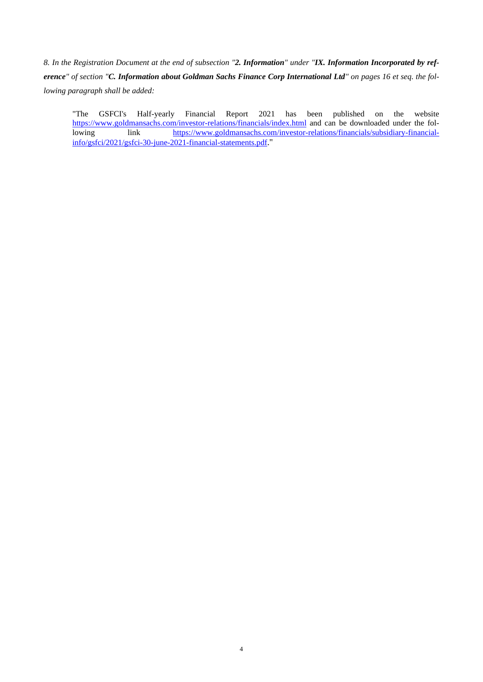*8. In the Registration Document at the end of subsection "2. Information" under "IX. Information Incorporated by reference" of section "C. Information about Goldman Sachs Finance Corp International Ltd" on pages 16 et seq. the following paragraph shall be added:* 

"The GSFCI's Half-yearly Financial Report 2021 has been published on the website <https://www.goldmansachs.com/investor-relations/financials/index.html> and can be downloaded under the following link [https://www.goldmansachs.com/investor-relations/financials/subsidiary-financial](https://www.goldmansachs.com/investor-relations/financials/subsidiary-financial-info/gsfci/2021/gsfci-30-june-2021-financial-statements.pdf)[info/gsfci/2021/gsfci-30-june-2021-financial-statements.pdf](https://www.goldmansachs.com/investor-relations/financials/subsidiary-financial-info/gsfci/2021/gsfci-30-june-2021-financial-statements.pdf)."